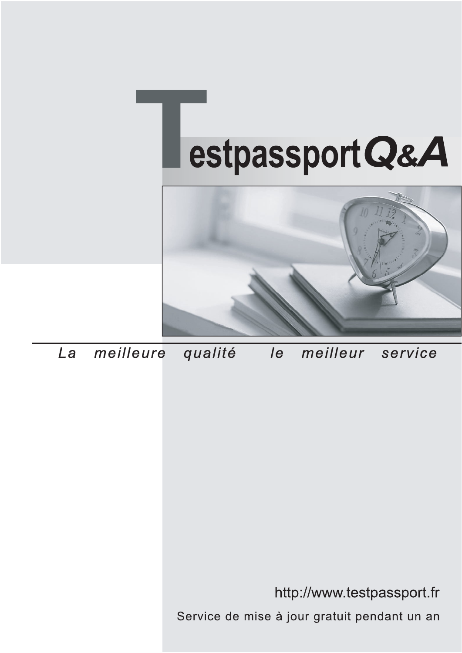



meilleure La qualité  $\overline{e}$ meilleur service

http://www.testpassport.fr

Service de mise à jour gratuit pendant un an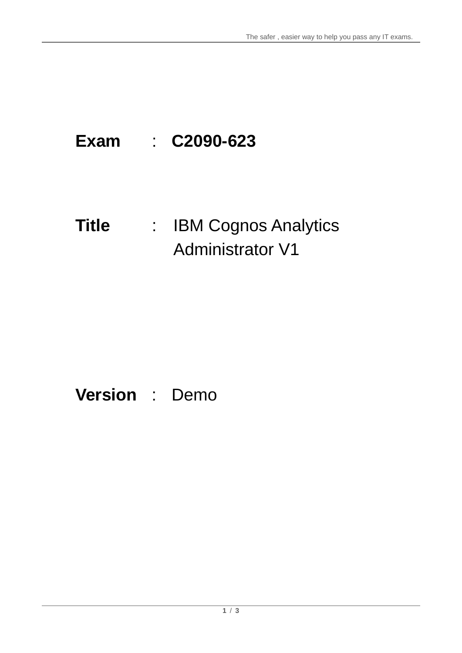# **Exam** : **C2090-623**

# **Title** : : IBM Cognos Analytics Administrator V1

# **Version** : Demo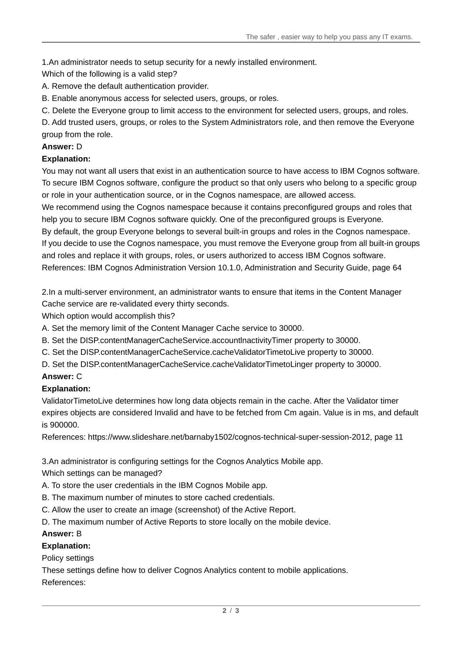1.An administrator needs to setup security for a newly installed environment.

Which of the following is a valid step?

- A. Remove the default authentication provider.
- B. Enable anonymous access for selected users, groups, or roles.
- C. Delete the Everyone group to limit access to the environment for selected users, groups, and roles.

D. Add trusted users, groups, or roles to the System Administrators role, and then remove the Everyone group from the role.

#### **Answer:** D

# **Explanation:**

You may not want all users that exist in an authentication source to have access to IBM Cognos software. To secure IBM Cognos software, configure the product so that only users who belong to a specific group or role in your authentication source, or in the Cognos namespace, are allowed access.

We recommend using the Cognos namespace because it contains preconfigured groups and roles that help you to secure IBM Cognos software quickly. One of the preconfigured groups is Everyone.

By default, the group Everyone belongs to several built-in groups and roles in the Cognos namespace. If you decide to use the Cognos namespace, you must remove the Everyone group from all built-in groups and roles and replace it with groups, roles, or users authorized to access IBM Cognos software. References: IBM Cognos Administration Version 10.1.0, Administration and Security Guide, page 64

2.In a multi-server environment, an administrator wants to ensure that items in the Content Manager Cache service are re-validated every thirty seconds.

Which option would accomplish this?

A. Set the memory limit of the Content Manager Cache service to 30000.

B. Set the DISP.contentManagerCacheService.accountlnactivityTimer property to 30000.

C. Set the DISP.contentManagerCacheService.cacheValidatorTimetoLive property to 30000.

D. Set the DISP.contentManagerCacheService.cacheValidatorTimetoLinger property to 30000.

# **Answer:** C

# **Explanation:**

ValidatorTimetoLive determines how long data objects remain in the cache. After the Validator timer expires objects are considered Invalid and have to be fetched from Cm again. Value is in ms, and default is 900000.

References: https://www.slideshare.net/barnaby1502/cognos-technical-super-session-2012, page 11

3.An administrator is configuring settings for the Cognos Analytics Mobile app.

Which settings can be managed?

- A. To store the user credentials in the IBM Cognos Mobile app.
- B. The maximum number of minutes to store cached credentials.
- C. Allow the user to create an image (screenshot) of the Active Report.
- D. The maximum number of Active Reports to store locally on the mobile device.

#### **Answer:** B

# **Explanation:**

Policy settings

These settings define how to deliver Cognos Analytics content to mobile applications. References: